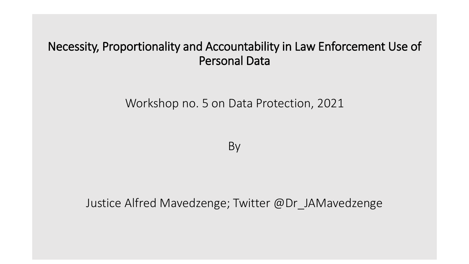## Necessity, Proportionality and Accountability in Law Enforcement Use of Personal Data

Workshop no. 5 on Data Protection, 2021

By

Justice Alfred Mavedzenge; Twitter @Dr\_JAMavedzenge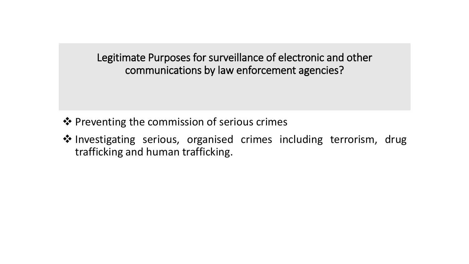Legitimate Purposes for surveillance of electronic and other communications by law enforcement agencies?

- ❖ Preventing the commission of serious crimes
- ◆ Investigating serious, organised crimes including terrorism, drug trafficking and human trafficking.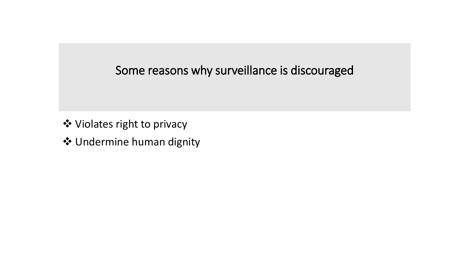# Some reasons why surveillance is discouraged

- Violates right to privacy
- Undermine human dignity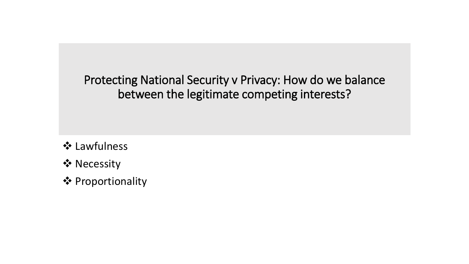Protecting National Security v Privacy: How do we balance between the legitimate competing interests?

**❖ Lawfulness** 

- ❖ Necessity
- **❖ Proportionality**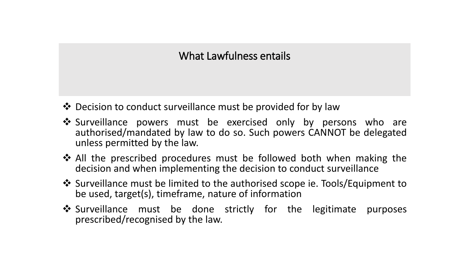#### What Lawfulness entails

- $\triangle$  Decision to conduct surveillance must be provided for by law
- ❖ Surveillance powers must be exercised only by persons who are authorised/mandated by law to do so. Such powers CANNOT be delegated unless permitted by the law.
- $\triangle$  All the prescribed procedures must be followed both when making the decision and when implementing the decision to conduct surveillance
- Surveillance must be limited to the authorised scope ie. Tools/Equipment to be used, target(s), timeframe, nature of information
- ❖ Surveillance must be done strictly for the legitimate purposes prescribed/recognised by the law.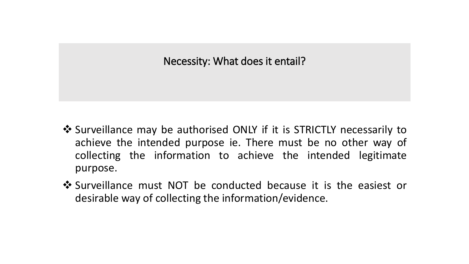#### Necessity: What does it entail?

- ❖ Surveillance may be authorised ONLY if it is STRICTLY necessarily to achieve the intended purpose ie. There must be no other way of collecting the information to achieve the intended legitimate purpose.
- ◆ Surveillance must NOT be conducted because it is the easiest or desirable way of collecting the information/evidence.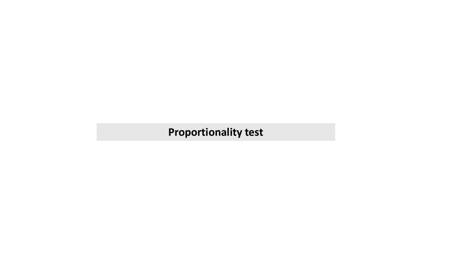## **Proportionality test**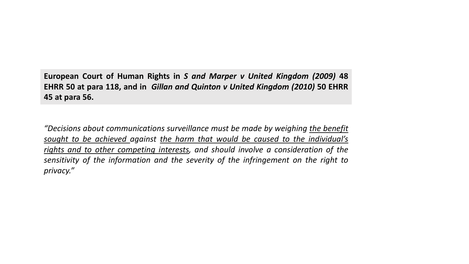**European Court of Human Rights in** *S and Marper v United Kingdom (2009)* **48 EHRR 50 at para 118, and in** *Gillan and Quinton v United Kingdom (2010)* **50 EHRR 45 at para 56.**

*"Decisions about communications surveillance must be made by weighing the benefit sought to be achieved against the harm that would be caused to the individual's rights and to other competing interests, and should involve a consideration of the sensitivity of the information and the severity of the infringement on the right to privacy."*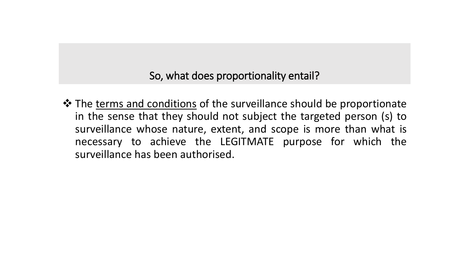So, what does proportionality entail?

 $\triangle$  The terms and conditions of the surveillance should be proportionate in the sense that they should not subject the targeted person (s) to surveillance whose nature, extent, and scope is more than what is necessary to achieve the LEGITMATE purpose for which the surveillance has been authorised.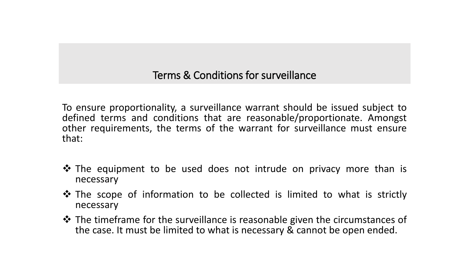Terms & Conditions for surveillance

To ensure proportionality, a surveillance warrant should be issued subject to defined terms and conditions that are reasonable/proportionate. Amongst other requirements, the terms of the warrant for surveillance must ensure that:

- **\*** The equipment to be used does not intrude on privacy more than is necessary
- $\lozenge$  The scope of information to be collected is limited to what is strictly necessary
- $\triangle$  The timeframe for the surveillance is reasonable given the circumstances of the case. It must be limited to what is necessary & cannot be open ended.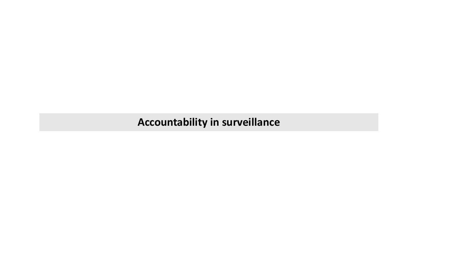**Accountability in surveillance**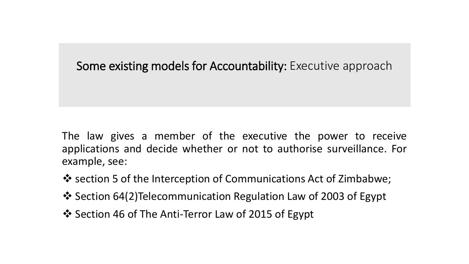### Some existing models for Accountability: Executive approach

The law gives a member of the executive the power to receive applications and decide whether or not to authorise surveillance. For example, see:

- ❖ section 5 of the Interception of Communications Act of Zimbabwe;
- $\cdot$  Section 64(2)Telecommunication Regulation Law of 2003 of Egypt
- ❖ Section 46 of The Anti-Terror Law of 2015 of Egypt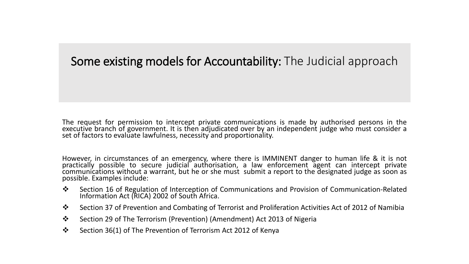#### Some existing models for Accountability: The Judicial approach

The request for permission to intercept private communications is made by authorised persons in the executive branch of government. It is then adjudicated over by an independent judge who must consider a set of factors to evaluate lawfulness, necessity and proportionality.

However, in circumstances of an emergency, where there is IMMINENT danger to human life & it is not practically possible to secure judicial authorisation, a law enforcement agent can intercept private communications without a warrant, but he or she must submit a report to the designated judge as soon as possible. Examples include:

- ◆ Section 16 of Regulation of Interception of Communications and Provision of Communication-Related Information Act (RICA) 2002 of South Africa.
- Section 37 of Prevention and Combating of Terrorist and Proliferation Activities Act of 2012 of Namibia
- Section 29 of The Terrorism (Prevention) (Amendment) Act 2013 of Nigeria
- Section 36(1) of The Prevention of Terrorism Act 2012 of Kenya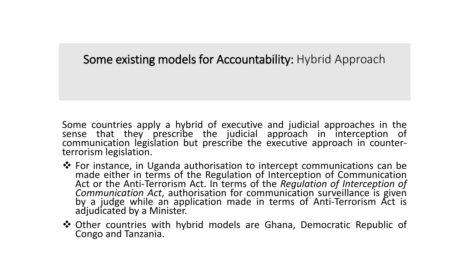# Some existing models for Accountability: Hybrid Approach

Some countries apply a hybrid of executive and judicial approaches in the sense that they prescribe the judicial approach in interception of communication legislation but prescribe the executive approach in counterterrorism legislation.

- For instance, in Uganda authorisation to intercept communications can be made either in terms of the Regulation of Interception of Communication Act or the Anti-Terrorism Act. In terms of the *Regulation of Interception of Communication Act*, authorisation for communication surveillance is given by a judge while an application made in terms of Anti-Terrorism Act is adjudicated by a Minister.
- **\*** Other countries with hybrid models are Ghana, Democratic Republic of Congo and Tanzania.